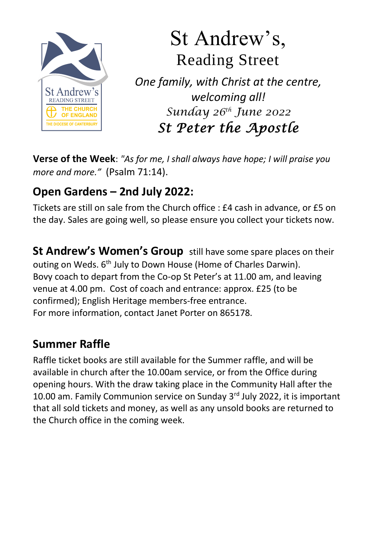

# St Andrew's, Reading Street

*One family, with Christ at the centre, welcoming all! Sunday 26th June 2022 St Peter the Apostle* 

**Verse of the Week**: *"As for me, I shall always have hope; I will praise you more and more."* (Psalm 71:14).

## **Open Gardens – 2nd July 2022:**

Tickets are still on sale from the Church office : £4 cash in advance, or £5 on the day. Sales are going well, so please ensure you collect your tickets now.

**St Andrew's Women's Group** still have some spare places on their outing on Weds. 6<sup>th</sup> July to Down House (Home of Charles Darwin). Bovy coach to depart from the Co-op St Peter's at 11.00 am, and leaving venue at 4.00 pm. Cost of coach and entrance: approx. £25 (to be confirmed); English Heritage members-free entrance. For more information, contact Janet Porter on 865178.

# **Summer Raffle**

Raffle ticket books are still available for the Summer raffle, and will be available in church after the 10.00am service, or from the Office during opening hours. With the draw taking place in the Community Hall after the 10.00 am. Family Communion service on Sunday 3rd July 2022, it is important that all sold tickets and money, as well as any unsold books are returned to the Church office in the coming week.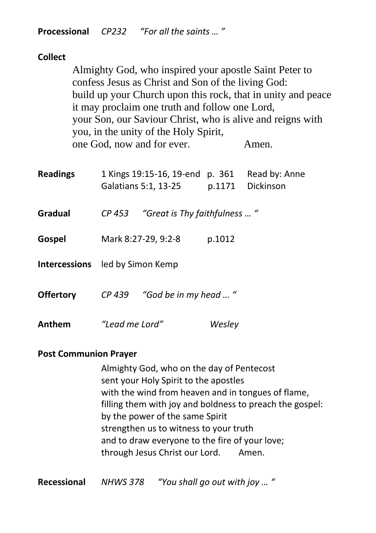**Processional** *CP232 "For all the saints … "*

| <b>Collect</b>   |  |                                                                                                                                                                                                                                                                                                                                       |                                                                                        |        |       |  |
|------------------|--|---------------------------------------------------------------------------------------------------------------------------------------------------------------------------------------------------------------------------------------------------------------------------------------------------------------------------------------|----------------------------------------------------------------------------------------|--------|-------|--|
|                  |  | Almighty God, who inspired your apostle Saint Peter to<br>confess Jesus as Christ and Son of the living God:<br>build up your Church upon this rock, that in unity and peace<br>it may proclaim one truth and follow one Lord,<br>your Son, our Saviour Christ, who is alive and reigns with<br>you, in the unity of the Holy Spirit, |                                                                                        |        |       |  |
|                  |  |                                                                                                                                                                                                                                                                                                                                       | one God, now and for ever.                                                             |        | Amen. |  |
| <b>Readings</b>  |  |                                                                                                                                                                                                                                                                                                                                       | 1 Kings 19:15-16, 19-end p. 361 Read by: Anne<br>Galatians 5:1, 13-25 p.1171 Dickinson |        |       |  |
| <b>Gradual</b>   |  | CP 453                                                                                                                                                                                                                                                                                                                                | "Great is Thy faithfulness  "                                                          |        |       |  |
| Gospel           |  |                                                                                                                                                                                                                                                                                                                                       | Mark 8:27-29, 9:2-8                                                                    | p.1012 |       |  |
|                  |  | <b>Intercessions</b> led by Simon Kemp                                                                                                                                                                                                                                                                                                |                                                                                        |        |       |  |
| <b>Offertory</b> |  | CP 439 "God be in my head  "                                                                                                                                                                                                                                                                                                          |                                                                                        |        |       |  |
| Anthem           |  | "Lead me Lord"                                                                                                                                                                                                                                                                                                                        |                                                                                        | Wesley |       |  |

#### **Post Communion Prayer**

Almighty God, who on the day of Pentecost sent your Holy Spirit to the apostles with the wind from heaven and in tongues of flame, filling them with joy and boldness to preach the gospel: by the power of the same Spirit strengthen us to witness to your truth and to draw everyone to the fire of your love; through Jesus Christ our Lord. Amen.

**Recessional** *NHWS 378 "You shall go out with joy … "*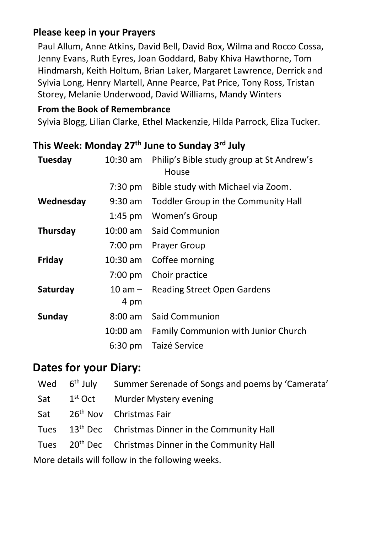### **Please keep in your Prayers**

Paul Allum, Anne Atkins, David Bell, David Box, Wilma and Rocco Cossa, Jenny Evans, Ruth Eyres, Joan Goddard, Baby Khiva Hawthorne, Tom Hindmarsh, Keith Holtum, Brian Laker, Margaret Lawrence, Derrick and Sylvia Long, Henry Martell, Anne Pearce, Pat Price, Tony Ross, Tristan Storey, Melanie Underwood, David Williams, Mandy Winters

#### **From the Book of Remembrance**

Sylvia Blogg, Lilian Clarke, Ethel Mackenzie, Hilda Parrock, Eliza Tucker.

## **This Week: Monday 27 th June to Sunday 3 rd July**

| Tuesday       | 10:30 am          | Philip's Bible study group at St Andrew's<br>House |
|---------------|-------------------|----------------------------------------------------|
|               | $7:30 \text{ pm}$ | Bible study with Michael via Zoom.                 |
| Wednesday     | $9:30$ am         | Toddler Group in the Community Hall                |
|               | $1:45$ pm         | Women's Group                                      |
| Thursday      | 10:00 am          | Said Communion                                     |
|               |                   | 7:00 pm Prayer Group                               |
| Friday        |                   | 10:30 am Coffee morning                            |
|               | $7:00 \text{ pm}$ | Choir practice                                     |
| Saturday      | 10 am –<br>4 pm   | <b>Reading Street Open Gardens</b>                 |
| <b>Sunday</b> | $8:00 \text{ am}$ | Said Communion                                     |
|               | 10:00 am          | Family Communion with Junior Church                |
|               | $6:30 \text{ pm}$ | Taizé Service                                      |

## **Dates for your Diary:**

|                                                            |                         | Wed 6 <sup>th</sup> July Summer Serenade of Songs and poems by 'Camerata' |  |  |  |  |
|------------------------------------------------------------|-------------------------|---------------------------------------------------------------------------|--|--|--|--|
|                                                            | Sat 1 <sup>st</sup> Oct | Murder Mystery evening                                                    |  |  |  |  |
|                                                            |                         | Sat 26 <sup>th</sup> Nov Christmas Fair                                   |  |  |  |  |
|                                                            |                         | Tues 13 <sup>th</sup> Dec Christmas Dinner in the Community Hall          |  |  |  |  |
|                                                            |                         | Tues 20 <sup>th</sup> Dec Christmas Dinner in the Community Hall          |  |  |  |  |
| وبامون برموزان والملمي وطعرون بروالمل الزبر وانمعوام ووملا |                         |                                                                           |  |  |  |  |

More details will follow in the following weeks.